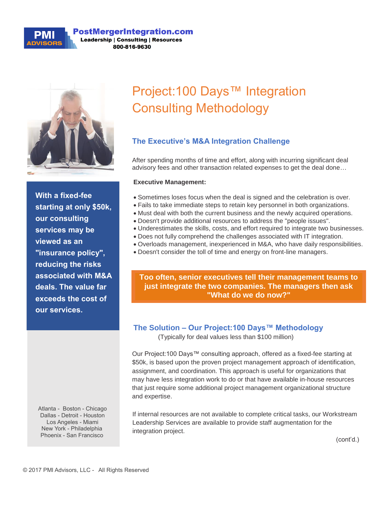#### **PostMergerIntegration.com Leadership | Consulting | Resources**

800-816-9630



**With a fixed-fee starting at only \$50k, our consulting services may be viewed as an "insurance policy", reducing the risks associated with M&A deals. The value far exceeds the cost of our services.** 

Atlanta - Boston - Chicago Dallas - Detroit - Houston Los Angeles - Miami New York - Philadelphia Phoenix - San Francisco

# Project:100 Days™ Integration Consulting Methodology

## **The Executive's M&A Integration Challenge**

After spending months of time and effort, along with incurring significant deal advisory fees and other transaction related expenses to get the deal done…

#### **Executive Management:**

- Sometimes loses focus when the deal is signed and the celebration is over.
- Fails to take immediate steps to retain key personnel in both organizations.
- Must deal with both the current business and the newly acquired operations.
- Doesn't provide additional resources to address the "people issues".
- Underestimates the skills, costs, and effort required to integrate two businesses.
- Does not fully comprehend the challenges associated with IT integration.
- Overloads management, inexperienced in M&A, who have daily responsibilities.
- Doesn't consider the toll of time and energy on front-line managers.

**Too often, senior executives tell their management teams to just integrate the two companies. The managers then ask "What do we do now?"**

**contains over 500 tasks**

### **The Solution – Our Project:100 Days™ Methodology**

(Typically for deal values less than \$100 million)

Our Project:100 Days™ consulting approach, offered as a fixed-fee starting at \$50k, is based upon the proven project management approach of identification, assignment, and coordination. This approach is useful for organizations that may have less integration work to do or that have available in-house resources that just require some additional project management organizational structure and expertise.

If internal resources are not available to complete critical tasks, our Workstream Leadership Services are available to provide staff augmentation for the integration project.

(cont'd.)